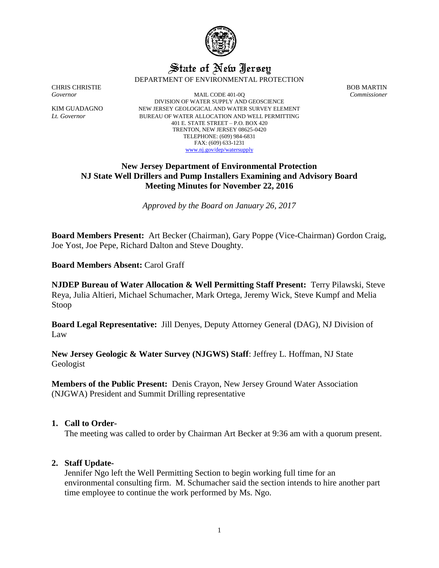

# State of New Jersey DEPARTMENT OF ENVIRONMENTAL PROTECTION

CHRIS CHRISTIE BOB MARTIN Governor BOB MARTIN Governor Commissioner *Governor* MAIL CODE 401-0Q *Commissioner* DIVISION OF WATER SUPPLY AND GEOSCIENCE KIM GUADAGNO NEW JERSEY GEOLOGICAL AND WATER SURVEY ELEMENT *Lt. Governor* BUREAU OF WATER ALLOCATION AND WELL PERMITTING 401 E. STATE STREET – P.O. BOX 420 TRENTON, NEW JERSEY 08625-0420 TELEPHONE: (609) 984-6831 FAX: (609) 633-1231 [www.nj.gov/dep/watersupply](http://www.nj.gov/dep/watersupply)

# **New Jersey Department of Environmental Protection NJ State Well Drillers and Pump Installers Examining and Advisory Board Meeting Minutes for November 22, 2016**

*Approved by the Board on January 26, 2017*

**Board Members Present:** Art Becker (Chairman), Gary Poppe (Vice-Chairman) Gordon Craig, Joe Yost, Joe Pepe, Richard Dalton and Steve Doughty.

**Board Members Absent:** Carol Graff

**NJDEP Bureau of Water Allocation & Well Permitting Staff Present:** Terry Pilawski, Steve Reya, Julia Altieri, Michael Schumacher, Mark Ortega, Jeremy Wick, Steve Kumpf and Melia Stoop

**Board Legal Representative:** Jill Denyes, Deputy Attorney General (DAG), NJ Division of Law

**New Jersey Geologic & Water Survey (NJGWS) Staff**: Jeffrey L. Hoffman, NJ State Geologist

**Members of the Public Present:** Denis Crayon, New Jersey Ground Water Association (NJGWA) President and Summit Drilling representative

# **1. Call to Order-**

The meeting was called to order by Chairman Art Becker at 9:36 am with a quorum present.

# **2. Staff Update-**

Jennifer Ngo left the Well Permitting Section to begin working full time for an environmental consulting firm. M. Schumacher said the section intends to hire another part time employee to continue the work performed by Ms. Ngo.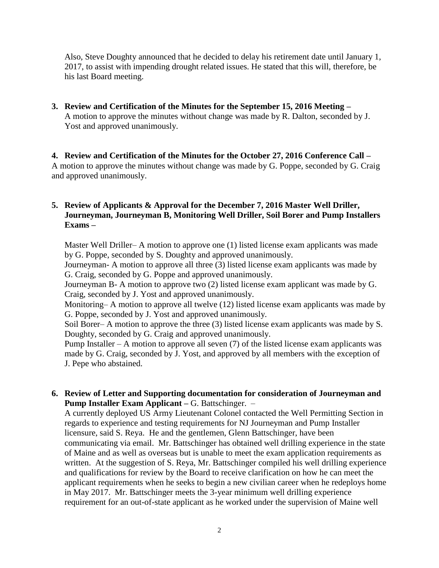Also, Steve Doughty announced that he decided to delay his retirement date until January 1, 2017, to assist with impending drought related issues. He stated that this will, therefore, be his last Board meeting.

**3. Review and Certification of the Minutes for the September 15, 2016 Meeting –** A motion to approve the minutes without change was made by R. Dalton, seconded by J. Yost and approved unanimously.

**4. Review and Certification of the Minutes for the October 27, 2016 Conference Call –** A motion to approve the minutes without change was made by G. Poppe, seconded by G. Craig and approved unanimously.

# **5. Review of Applicants & Approval for the December 7, 2016 Master Well Driller, Journeyman, Journeyman B, Monitoring Well Driller, Soil Borer and Pump Installers Exams –**

Master Well Driller– A motion to approve one (1) listed license exam applicants was made by G. Poppe, seconded by S. Doughty and approved unanimously.

Journeyman- A motion to approve all three (3) listed license exam applicants was made by G. Craig, seconded by G. Poppe and approved unanimously.

Journeyman B- A motion to approve two (2) listed license exam applicant was made by G. Craig, seconded by J. Yost and approved unanimously.

Monitoring– A motion to approve all twelve (12) listed license exam applicants was made by G. Poppe, seconded by J. Yost and approved unanimously.

Soil Borer– A motion to approve the three (3) listed license exam applicants was made by S. Doughty, seconded by G. Craig and approved unanimously.

Pump Installer – A motion to approve all seven  $(7)$  of the listed license exam applicants was made by G. Craig, seconded by J. Yost, and approved by all members with the exception of J. Pepe who abstained.

**6. Review of Letter and Supporting documentation for consideration of Journeyman and Pump Installer Exam Applicant –** G. Battschinger. –

A currently deployed US Army Lieutenant Colonel contacted the Well Permitting Section in regards to experience and testing requirements for NJ Journeyman and Pump Installer licensure, said S. Reya. He and the gentlemen, Glenn Battschinger, have been communicating via email. Mr. Battschinger has obtained well drilling experience in the state of Maine and as well as overseas but is unable to meet the exam application requirements as written. At the suggestion of S. Reya, Mr. Battschinger compiled his well drilling experience and qualifications for review by the Board to receive clarification on how he can meet the applicant requirements when he seeks to begin a new civilian career when he redeploys home in May 2017. Mr. Battschinger meets the 3-year minimum well drilling experience requirement for an out-of-state applicant as he worked under the supervision of Maine well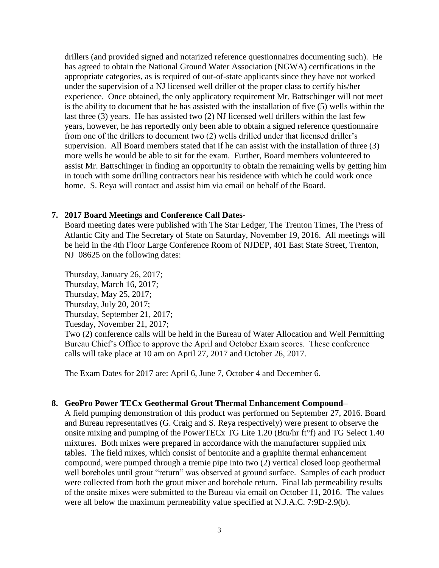drillers (and provided signed and notarized reference questionnaires documenting such). He has agreed to obtain the National Ground Water Association (NGWA) certifications in the appropriate categories, as is required of out-of-state applicants since they have not worked under the supervision of a NJ licensed well driller of the proper class to certify his/her experience. Once obtained, the only applicatory requirement Mr. Battschinger will not meet is the ability to document that he has assisted with the installation of five (5) wells within the last three (3) years. He has assisted two (2) NJ licensed well drillers within the last few years, however, he has reportedly only been able to obtain a signed reference questionnaire from one of the drillers to document two (2) wells drilled under that licensed driller's supervision. All Board members stated that if he can assist with the installation of three (3) more wells he would be able to sit for the exam. Further, Board members volunteered to assist Mr. Battschinger in finding an opportunity to obtain the remaining wells by getting him in touch with some drilling contractors near his residence with which he could work once home. S. Reya will contact and assist him via email on behalf of the Board.

#### **7. 2017 Board Meetings and Conference Call Dates-**

Board meeting dates were published with The Star Ledger, The Trenton Times, The Press of Atlantic City and The Secretary of State on Saturday, November 19, 2016. All meetings will be held in the 4th Floor Large Conference Room of NJDEP, 401 East State Street, Trenton, NJ 08625 on the following dates:

Thursday, January 26, 2017; Thursday, March 16, 2017; Thursday, May 25, 2017; Thursday, July 20, 2017; Thursday, September 21, 2017; Tuesday, November 21, 2017; Two (2) conference calls will be held in the Bureau of Water Allocation and Well Permitting Bureau Chief's Office to approve the April and October Exam scores. These conference calls will take place at 10 am on April 27, 2017 and October 26, 2017.

The Exam Dates for 2017 are: April 6, June 7, October 4 and December 6.

#### **8. GeoPro Power TECx Geothermal Grout Thermal Enhancement Compound–**

A field pumping demonstration of this product was performed on September 27, 2016. Board and Bureau representatives (G. Craig and S. Reya respectively) were present to observe the onsite mixing and pumping of the PowerTECx TG Lite 1.20 (Btu/hr ft°f) and TG Select 1.40 mixtures. Both mixes were prepared in accordance with the manufacturer supplied mix tables. The field mixes, which consist of bentonite and a graphite thermal enhancement compound, were pumped through a tremie pipe into two (2) vertical closed loop geothermal well boreholes until grout "return" was observed at ground surface. Samples of each product were collected from both the grout mixer and borehole return. Final lab permeability results of the onsite mixes were submitted to the Bureau via email on October 11, 2016. The values were all below the maximum permeability value specified at N.J.A.C. 7:9D-2.9(b).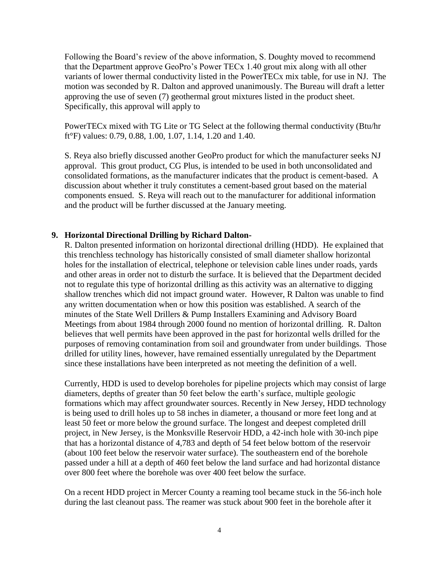Following the Board's review of the above information, S. Doughty moved to recommend that the Department approve GeoPro's Power TECx 1.40 grout mix along with all other variants of lower thermal conductivity listed in the PowerTECx mix table, for use in NJ. The motion was seconded by R. Dalton and approved unanimously. The Bureau will draft a letter approving the use of seven (7) geothermal grout mixtures listed in the product sheet. Specifically, this approval will apply to

PowerTECx mixed with TG Lite or TG Select at the following thermal conductivity (Btu/hr ft°F) values: 0.79, 0.88, 1.00, 1.07, 1.14, 1.20 and 1.40.

S. Reya also briefly discussed another GeoPro product for which the manufacturer seeks NJ approval. This grout product, CG Plus, is intended to be used in both unconsolidated and consolidated formations, as the manufacturer indicates that the product is cement-based. A discussion about whether it truly constitutes a cement-based grout based on the material components ensued. S. Reya will reach out to the manufacturer for additional information and the product will be further discussed at the January meeting.

# **9. Horizontal Directional Drilling by Richard Dalton-**

R. Dalton presented information on horizontal directional drilling (HDD). He explained that this trenchless technology has historically consisted of small diameter shallow horizontal holes for the installation of electrical, telephone or television cable lines under roads, yards and other areas in order not to disturb the surface. It is believed that the Department decided not to regulate this type of horizontal drilling as this activity was an alternative to digging shallow trenches which did not impact ground water. However, R Dalton was unable to find any written documentation when or how this position was established. A search of the minutes of the State Well Drillers & Pump Installers Examining and Advisory Board Meetings from about 1984 through 2000 found no mention of horizontal drilling. R. Dalton believes that well permits have been approved in the past for horizontal wells drilled for the purposes of removing contamination from soil and groundwater from under buildings. Those drilled for utility lines, however, have remained essentially unregulated by the Department since these installations have been interpreted as not meeting the definition of a well.

Currently, HDD is used to develop boreholes for pipeline projects which may consist of large diameters, depths of greater than 50 feet below the earth's surface, multiple geologic formations which may affect groundwater sources. Recently in New Jersey, HDD technology is being used to drill holes up to 58 inches in diameter, a thousand or more feet long and at least 50 feet or more below the ground surface. The longest and deepest completed drill project, in New Jersey, is the Monksville Reservoir HDD, a 42-inch hole with 30-inch pipe that has a horizontal distance of 4,783 and depth of 54 feet below bottom of the reservoir (about 100 feet below the reservoir water surface). The southeastern end of the borehole passed under a hill at a depth of 460 feet below the land surface and had horizontal distance over 800 feet where the borehole was over 400 feet below the surface.

On a recent HDD project in Mercer County a reaming tool became stuck in the 56-inch hole during the last cleanout pass. The reamer was stuck about 900 feet in the borehole after it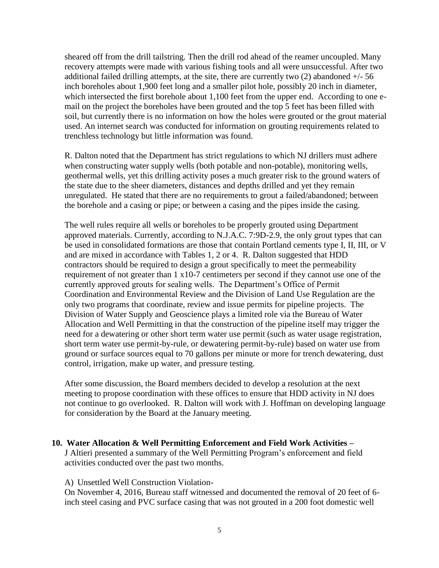sheared off from the drill tailstring. Then the drill rod ahead of the reamer uncoupled. Many recovery attempts were made with various fishing tools and all were unsuccessful. After two additional failed drilling attempts, at the site, there are currently two  $(2)$  abandoned  $+/-56$ inch boreholes about 1,900 feet long and a smaller pilot hole, possibly 20 inch in diameter, which intersected the first borehole about 1,100 feet from the upper end. According to one email on the project the boreholes have been grouted and the top 5 feet has been filled with soil, but currently there is no information on how the holes were grouted or the grout material used. An internet search was conducted for information on grouting requirements related to trenchless technology but little information was found.

R. Dalton noted that the Department has strict regulations to which NJ drillers must adhere when constructing water supply wells (both potable and non-potable), monitoring wells, geothermal wells, yet this drilling activity poses a much greater risk to the ground waters of the state due to the sheer diameters, distances and depths drilled and yet they remain unregulated. He stated that there are no requirements to grout a failed/abandoned; between the borehole and a casing or pipe; or between a casing and the pipes inside the casing.

The well rules require all wells or boreholes to be properly grouted using Department approved materials. Currently, according to N.J.A.C. 7:9D-2.9, the only grout types that can be used in consolidated formations are those that contain Portland cements type I, II, III, or V and are mixed in accordance with Tables 1, 2 or 4. R. Dalton suggested that HDD contractors should be required to design a grout specifically to meet the permeability requirement of not greater than 1 x10-7 centimeters per second if they cannot use one of the currently approved grouts for sealing wells. The Department's Office of Permit Coordination and Environmental Review and the Division of Land Use Regulation are the only two programs that coordinate, review and issue permits for pipeline projects. The Division of Water Supply and Geoscience plays a limited role via the Bureau of Water Allocation and Well Permitting in that the construction of the pipeline itself may trigger the need for a dewatering or other short term water use permit (such as water usage registration, short term water use permit-by-rule, or dewatering permit-by-rule) based on water use from ground or surface sources equal to 70 gallons per minute or more for trench dewatering, dust control, irrigation, make up water, and pressure testing.

After some discussion, the Board members decided to develop a resolution at the next meeting to propose coordination with these offices to ensure that HDD activity in NJ does not continue to go overlooked. R. Dalton will work with J. Hoffman on developing language for consideration by the Board at the January meeting.

**10. Water Allocation & Well Permitting Enforcement and Field Work Activities –** J Altieri presented a summary of the Well Permitting Program's enforcement and field activities conducted over the past two months.

A) Unsettled Well Construction Violation-

On November 4, 2016, Bureau staff witnessed and documented the removal of 20 feet of 6 inch steel casing and PVC surface casing that was not grouted in a 200 foot domestic well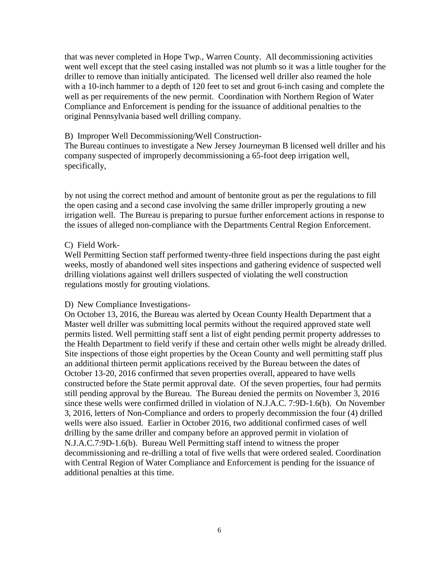that was never completed in Hope Twp., Warren County. All decommissioning activities went well except that the steel casing installed was not plumb so it was a little tougher for the driller to remove than initially anticipated. The licensed well driller also reamed the hole with a 10-inch hammer to a depth of 120 feet to set and grout 6-inch casing and complete the well as per requirements of the new permit. Coordination with Northern Region of Water Compliance and Enforcement is pending for the issuance of additional penalties to the original Pennsylvania based well drilling company.

#### B) Improper Well Decommissioning/Well Construction-

The Bureau continues to investigate a New Jersey Journeyman B licensed well driller and his company suspected of improperly decommissioning a 65-foot deep irrigation well, specifically,

by not using the correct method and amount of bentonite grout as per the regulations to fill the open casing and a second case involving the same driller improperly grouting a new irrigation well. The Bureau is preparing to pursue further enforcement actions in response to the issues of alleged non-compliance with the Departments Central Region Enforcement.

#### C) Field Work-

Well Permitting Section staff performed twenty-three field inspections during the past eight weeks, mostly of abandoned well sites inspections and gathering evidence of suspected well drilling violations against well drillers suspected of violating the well construction regulations mostly for grouting violations.

#### D) New Compliance Investigations-

On October 13, 2016, the Bureau was alerted by Ocean County Health Department that a Master well driller was submitting local permits without the required approved state well permits listed. Well permitting staff sent a list of eight pending permit property addresses to the Health Department to field verify if these and certain other wells might be already drilled. Site inspections of those eight properties by the Ocean County and well permitting staff plus an additional thirteen permit applications received by the Bureau between the dates of October 13-20, 2016 confirmed that seven properties overall, appeared to have wells constructed before the State permit approval date. Of the seven properties, four had permits still pending approval by the Bureau. The Bureau denied the permits on November 3, 2016 since these wells were confirmed drilled in violation of N.J.A.C. 7:9D-1.6(b). On November 3, 2016, letters of Non-Compliance and orders to properly decommission the four (4) drilled wells were also issued. Earlier in October 2016, two additional confirmed cases of well drilling by the same driller and company before an approved permit in violation of N.J.A.C.7:9D-1.6(b). Bureau Well Permitting staff intend to witness the proper decommissioning and re-drilling a total of five wells that were ordered sealed. Coordination with Central Region of Water Compliance and Enforcement is pending for the issuance of additional penalties at this time.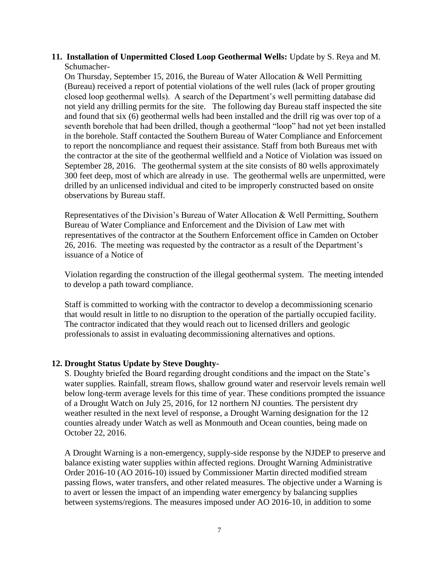# **11. Installation of Unpermitted Closed Loop Geothermal Wells:** Update by S. Reya and M. Schumacher-

On Thursday, September 15, 2016, the Bureau of Water Allocation & Well Permitting (Bureau) received a report of potential violations of the well rules (lack of proper grouting closed loop geothermal wells). A search of the Department's well permitting database did not yield any drilling permits for the site. The following day Bureau staff inspected the site and found that six (6) geothermal wells had been installed and the drill rig was over top of a seventh borehole that had been drilled, though a geothermal "loop" had not yet been installed in the borehole. Staff contacted the Southern Bureau of Water Compliance and Enforcement to report the noncompliance and request their assistance. Staff from both Bureaus met with the contractor at the site of the geothermal wellfield and a Notice of Violation was issued on September 28, 2016. The geothermal system at the site consists of 80 wells approximately 300 feet deep, most of which are already in use. The geothermal wells are unpermitted, were drilled by an unlicensed individual and cited to be improperly constructed based on onsite observations by Bureau staff.

Representatives of the Division's Bureau of Water Allocation & Well Permitting, Southern Bureau of Water Compliance and Enforcement and the Division of Law met with representatives of the contractor at the Southern Enforcement office in Camden on October 26, 2016. The meeting was requested by the contractor as a result of the Department's issuance of a Notice of

Violation regarding the construction of the illegal geothermal system. The meeting intended to develop a path toward compliance.

Staff is committed to working with the contractor to develop a decommissioning scenario that would result in little to no disruption to the operation of the partially occupied facility. The contractor indicated that they would reach out to licensed drillers and geologic professionals to assist in evaluating decommissioning alternatives and options.

# **12. Drought Status Update by Steve Doughty-**

S. Doughty briefed the Board regarding drought conditions and the impact on the State's water supplies. Rainfall, stream flows, shallow ground water and reservoir levels remain well below long-term average levels for this time of year. These conditions prompted the issuance of a Drought Watch on July 25, 2016, for 12 northern NJ counties. The persistent dry weather resulted in the next level of response, a Drought Warning designation for the 12 counties already under Watch as well as Monmouth and Ocean counties, being made on October 22, 2016.

A Drought Warning is a non-emergency, supply-side response by the NJDEP to preserve and balance existing water supplies within affected regions. Drought Warning Administrative Order 2016-10 (AO 2016-10) issued by Commissioner Martin directed modified stream passing flows, water transfers, and other related measures. The objective under a Warning is to avert or lessen the impact of an impending water emergency by balancing supplies between systems/regions. The measures imposed under AO 2016-10, in addition to some